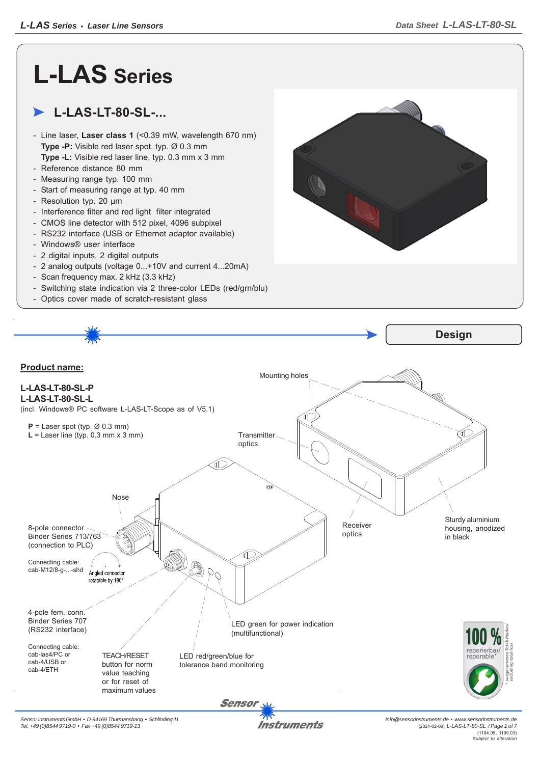## **L-LAS Series**

## **L-LAS-LT-80-SL-...**

- Line laser, **Laser class 1** (<0.39 mW, wavelength 670 nm) **Type -P:** Visible red laser spot, typ. Ø 0.3 mm **Type -L:** Visible red laser line, typ. 0.3 mm x 3 mm
- Reference distance 80 mm
- Measuring range typ. 100 mm
- Start of measuring range at typ. 40 mm
- Resolution typ. 20 μm
- Interference filter and red light filter integrated
- CMOS line detector with 512 pixel, 4096 subpixel
- RS232 interface (USB or Ethernet adaptor available)
- Windows® user interface
- 2 digital inputs, 2 digital outputs
- 2 analog outputs (voltage 0...+10V and current 4...20mA)
- Scan frequency max. 2 kHz (3.3 kHz)
- Switching state indication via 2 three-color LEDs (red/grn/blu)
- Optics cover made of scratch-resistant glass



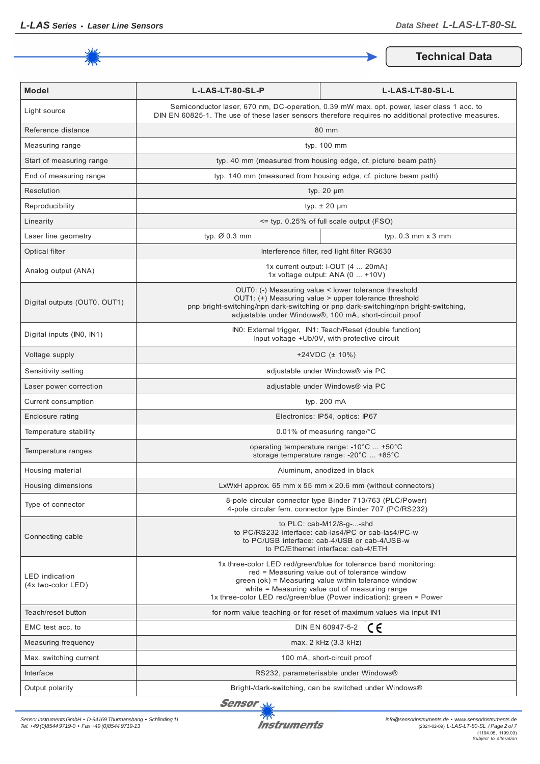

**Technical Data**

| <b>Model</b>                                | L-LAS-LT-80-SL-P                                                                                                                                                                                                                                                                                   | L-LAS-LT-80-SL-L                                                                                                                                                          |
|---------------------------------------------|----------------------------------------------------------------------------------------------------------------------------------------------------------------------------------------------------------------------------------------------------------------------------------------------------|---------------------------------------------------------------------------------------------------------------------------------------------------------------------------|
| Light source                                | Semiconductor laser, 670 nm, DC-operation, 0.39 mW max. opt. power, laser class 1 acc. to<br>DIN EN 60825-1. The use of these laser sensors therefore requires no additional protective measures.                                                                                                  |                                                                                                                                                                           |
| Reference distance                          | 80 mm                                                                                                                                                                                                                                                                                              |                                                                                                                                                                           |
| Measuring range                             | typ. 100 mm                                                                                                                                                                                                                                                                                        |                                                                                                                                                                           |
| Start of measuring range                    | typ. 40 mm (measured from housing edge, cf. picture beam path)                                                                                                                                                                                                                                     |                                                                                                                                                                           |
| End of measuring range                      | typ. 140 mm (measured from housing edge, cf. picture beam path)                                                                                                                                                                                                                                    |                                                                                                                                                                           |
| Resolution                                  | typ. $20 \mu m$                                                                                                                                                                                                                                                                                    |                                                                                                                                                                           |
| Reproducibility                             | typ. $\pm$ 20 $\mu$ m                                                                                                                                                                                                                                                                              |                                                                                                                                                                           |
| Linearity                                   | <= typ. 0.25% of full scale output (FSO)                                                                                                                                                                                                                                                           |                                                                                                                                                                           |
| Laser line geometry                         | typ. Ø 0.3 mm                                                                                                                                                                                                                                                                                      | typ. $0.3$ mm $\times$ 3 mm                                                                                                                                               |
| Optical filter                              |                                                                                                                                                                                                                                                                                                    | Interference filter, red light filter RG630                                                                                                                               |
| Analog output (ANA)                         | 1x current output: I-OUT (4  20mA)<br>1x voltage output: ANA (0  +10V)                                                                                                                                                                                                                             |                                                                                                                                                                           |
| Digital outputs (OUT0, OUT1)                | OUT0: (-) Measuring value < lower tolerance threshold<br>OUT1: (+) Measuring value > upper tolerance threshold<br>pnp bright-switching/npn dark-switching or pnp dark-switching/npn bright-switching,<br>adjustable under Windows®, 100 mA, short-circuit proof                                    |                                                                                                                                                                           |
| Digital inputs (INO, IN1)                   | INO: External trigger, IN1: Teach/Reset (double function)<br>Input voltage +Ub/0V, with protective circuit                                                                                                                                                                                         |                                                                                                                                                                           |
| Voltage supply                              | +24VDC $(\pm 10\%)$                                                                                                                                                                                                                                                                                |                                                                                                                                                                           |
| Sensitivity setting                         | adjustable under Windows® via PC                                                                                                                                                                                                                                                                   |                                                                                                                                                                           |
| Laser power correction                      | adjustable under Windows® via PC                                                                                                                                                                                                                                                                   |                                                                                                                                                                           |
| Current consumption                         | typ. 200 mA                                                                                                                                                                                                                                                                                        |                                                                                                                                                                           |
| Enclosure rating                            | Electronics: IP54, optics: IP67                                                                                                                                                                                                                                                                    |                                                                                                                                                                           |
| Temperature stability                       | 0.01% of measuring range/°C                                                                                                                                                                                                                                                                        |                                                                                                                                                                           |
| Temperature ranges                          | operating temperature range: -10°C  +50°C<br>storage temperature range: -20°C  +85°C                                                                                                                                                                                                               |                                                                                                                                                                           |
| Housing material                            | Aluminum, anodized in black                                                                                                                                                                                                                                                                        |                                                                                                                                                                           |
| Housing dimensions                          | LxWxH approx. 65 mm x 55 mm x 20.6 mm (without connectors)                                                                                                                                                                                                                                         |                                                                                                                                                                           |
| Type of connector                           |                                                                                                                                                                                                                                                                                                    | 8-pole circular connector type Binder 713/763 (PLC/Power)<br>4-pole circular fem. connector type Binder 707 (PC/RS232)                                                    |
| Connecting cable                            |                                                                                                                                                                                                                                                                                                    | to $PLC: cab-M12/8-g--shd$<br>to PC/RS232 interface: cab-las4/PC or cab-las4/PC-w<br>to PC/USB interface: cab-4/USB or cab-4/USB-w<br>to PC/Ethernet interface: cab-4/ETH |
| <b>LED</b> indication<br>(4x two-color LED) | 1x three-color LED red/green/blue for tolerance band monitoring:<br>red = Measuring value out of tolerance window<br>green (ok) = Measuring value within tolerance window<br>white = Measuring value out of measuring range<br>1x three-color LED red/green/blue (Power indication): green = Power |                                                                                                                                                                           |
| Teach/reset button                          |                                                                                                                                                                                                                                                                                                    | for norm value teaching or for reset of maximum values via input IN1                                                                                                      |
| EMC test acc. to                            | CE<br>DIN EN 60947-5-2                                                                                                                                                                                                                                                                             |                                                                                                                                                                           |
| Measuring frequency                         | max. 2 kHz (3.3 kHz)                                                                                                                                                                                                                                                                               |                                                                                                                                                                           |
| Max. switching current                      | 100 mA, short-circuit proof                                                                                                                                                                                                                                                                        |                                                                                                                                                                           |
| Interface                                   | RS232, parameterisable under Windows®                                                                                                                                                                                                                                                              |                                                                                                                                                                           |
| Output polarity                             | Bright-/dark-switching, can be switched under Windows®                                                                                                                                                                                                                                             |                                                                                                                                                                           |

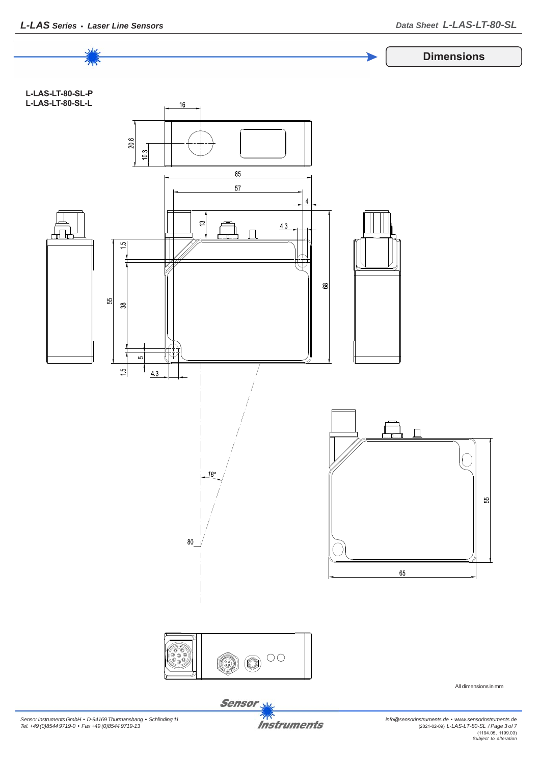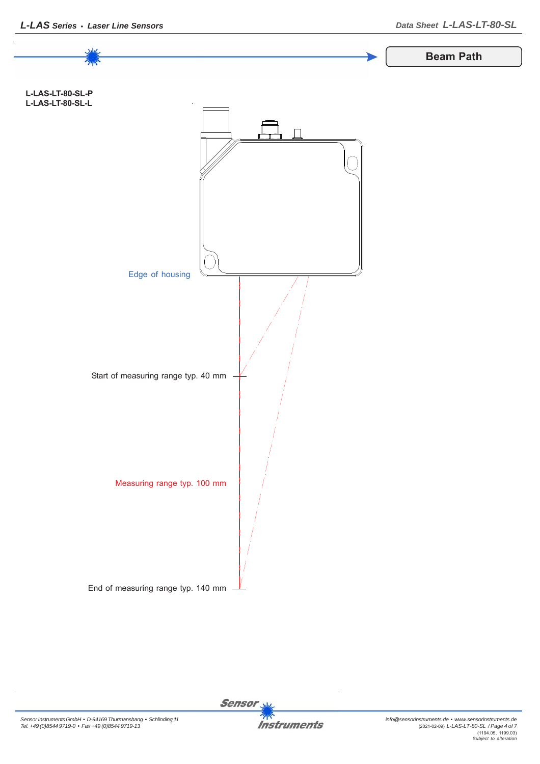

Sensor<sub>N</sub> **Instruments**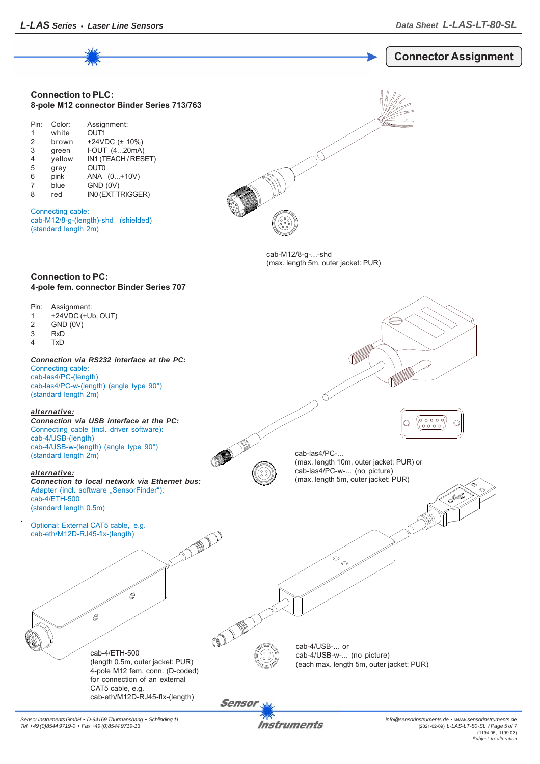

*Sensor Instruments GmbH • D-94169 Thurmansbang • Schlinding 11 Tel. +49 (0)8544 9719-0 • Fax +49 (0)8544 9719-13*

Instruments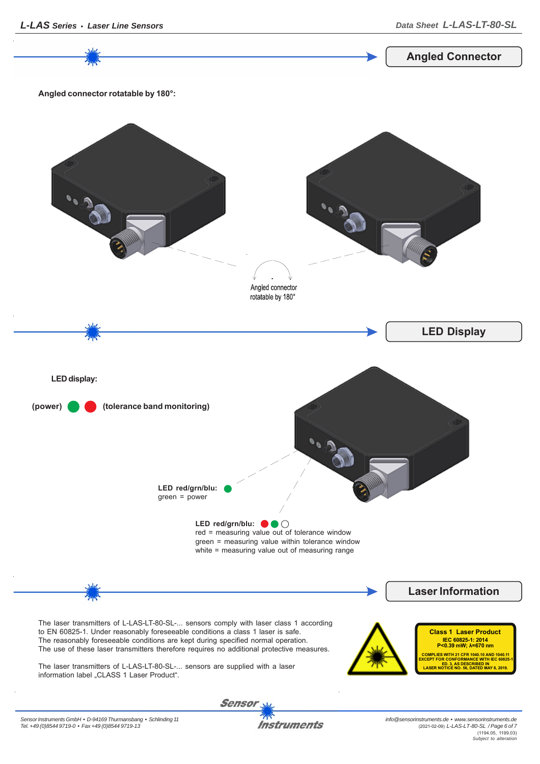*info@sensorinstruments.de • www.sensorinstruments.de* (2021-02-09) *L-LAS-LT-80-SL / Page 6 of 7* (1194.05, 1199.03) *Subject to alteration*



**Instruments**